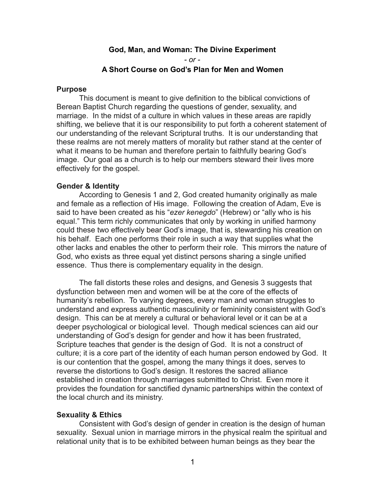# **God, Man, and Woman: The Divine Experiment**  *- or -*  **A Short Course on God's Plan for Men and Women**

### **Purpose**

 This document is meant to give definition to the biblical convictions of Berean Baptist Church regarding the questions of gender, sexuality, and marriage. In the midst of a culture in which values in these areas are rapidly shifting, we believe that it is our responsibility to put forth a coherent statement of our understanding of the relevant Scriptural truths. It is our understanding that these realms are not merely matters of morality but rather stand at the center of what it means to be human and therefore pertain to faithfully bearing God's image. Our goal as a church is to help our members steward their lives more effectively for the gospel.

# **Gender & Identity**

According to Genesis 1 and 2, God created humanity originally as male and female as a reflection of His image. Following the creation of Adam, Eve is said to have been created as his "*ezer kenegdo*" (Hebrew) or "ally who is his equal." This term richly communicates that only by working in unified harmony could these two effectively bear God's image, that is, stewarding his creation on his behalf. Each one performs their role in such a way that supplies what the other lacks and enables the other to perform their role. This mirrors the nature of God, who exists as three equal yet distinct persons sharing a single unified essence. Thus there is complementary equality in the design.

The fall distorts these roles and designs, and Genesis 3 suggests that dysfunction between men and women will be at the core of the effects of humanity's rebellion. To varying degrees, every man and woman struggles to understand and express authentic masculinity or femininity consistent with God's design. This can be at merely a cultural or behavioral level or it can be at a deeper psychological or biological level. Though medical sciences can aid our understanding of God's design for gender and how it has been frustrated, Scripture teaches that gender is the design of God. It is not a construct of culture; it is a core part of the identity of each human person endowed by God. It is our contention that the gospel, among the many things it does, serves to reverse the distortions to God's design. It restores the sacred alliance established in creation through marriages submitted to Christ. Even more it provides the foundation for sanctified dynamic partnerships within the context of the local church and its ministry.

# **Sexuality & Ethics**

 Consistent with God's design of gender in creation is the design of human sexuality. Sexual union in marriage mirrors in the physical realm the spiritual and relational unity that is to be exhibited between human beings as they bear the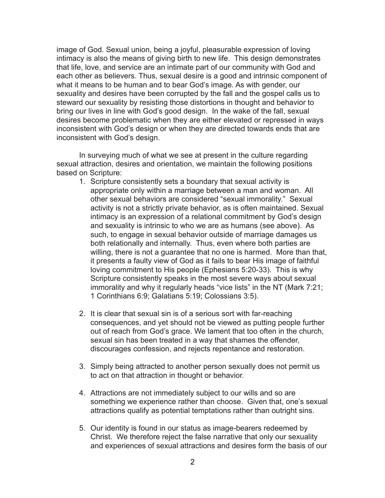image of God. Sexual union, being a joyful, pleasurable expression of loving intimacy is also the means of giving birth to new life. This design demonstrates that life, love, and service are an intimate part of our community with God and each other as believers. Thus, sexual desire is a good and intrinsic component of what it means to be human and to bear God's image. As with gender, our sexuality and desires have been corrupted by the fall and the gospel calls us to steward our sexuality by resisting those distortions in thought and behavior to bring our lives in line with God's good design. In the wake of the fall, sexual desires become problematic when they are either elevated or repressed in ways inconsistent with God's design or when they are directed towards ends that are inconsistent with God's design.

 In surveying much of what we see at present in the culture regarding sexual attraction, desires and orientation, we maintain the following positions based on Scripture:

- 1. Scripture consistently sets a boundary that sexual activity is appropriate only within a marriage between a man and woman. All other sexual behaviors are considered "sexual immorality." Sexual activity is not a strictly private behavior, as is often maintained. Sexual intimacy is an expression of a relational commitment by God's design and sexuality is intrinsic to who we are as humans (see above). As such, to engage in sexual behavior outside of marriage damages us both relationally and internally. Thus, even where both parties are willing, there is not a guarantee that no one is harmed. More than that, it presents a faulty view of God as it fails to bear His image of faithful loving commitment to His people (Ephesians 5:20-33). This is why Scripture consistently speaks in the most severe ways about sexual immorality and why it regularly heads "vice lists" in the NT (Mark 7:21; 1 Corinthians 6:9; Galatians 5:19; Colossians 3:5).
- 2. It is clear that sexual sin is of a serious sort with far-reaching consequences, and yet should not be viewed as putting people further out of reach from God's grace. We lament that too often in the church, sexual sin has been treated in a way that shames the offender, discourages confession, and rejects repentance and restoration.
- 3. Simply being attracted to another person sexually does not permit us to act on that attraction in thought or behavior.
- 4. Attractions are not immediately subject to our wills and so are something we experience rather than choose. Given that, one's sexual attractions qualify as potential temptations rather than outright sins.
- 5. Our identity is found in our status as image-bearers redeemed by Christ. We therefore reject the false narrative that only our sexuality and experiences of sexual attractions and desires form the basis of our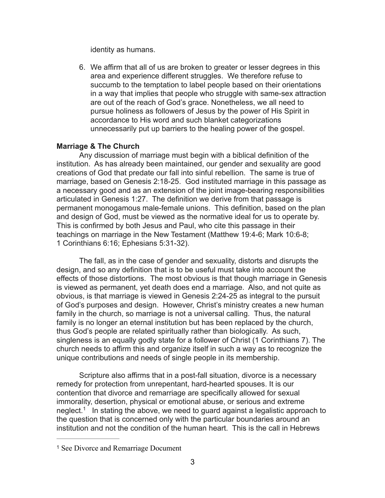identity as humans.

6. We affirm that all of us are broken to greater or lesser degrees in this area and experience different struggles. We therefore refuse to succumb to the temptation to label people based on their orientations in a way that implies that people who struggle with same-sex attraction are out of the reach of God's grace. Nonetheless, we all need to pursue holiness as followers of Jesus by the power of His Spirit in accordance to His word and such blanket categorizations unnecessarily put up barriers to the healing power of the gospel.

# **Marriage & The Church**

 Any discussion of marriage must begin with a biblical definition of the institution. As has already been maintained, our gender and sexuality are good creations of God that predate our fall into sinful rebellion. The same is true of marriage, based on Genesis 2:18-25. God instituted marriage in this passage as a necessary good and as an extension of the joint image-bearing responsibilities articulated in Genesis 1:27. The definition we derive from that passage is permanent monogamous male-female unions. This definition, based on the plan and design of God, must be viewed as the normative ideal for us to operate by. This is confirmed by both Jesus and Paul, who cite this passage in their teachings on marriage in the New Testament (Matthew 19:4-6; Mark 10:6-8; 1 Corinthians 6:16; Ephesians 5:31-32).

The fall, as in the case of gender and sexuality, distorts and disrupts the design, and so any definition that is to be useful must take into account the effects of those distortions. The most obvious is that though marriage in Genesis is viewed as permanent, yet death does end a marriage. Also, and not quite as obvious, is that marriage is viewed in Genesis 2:24-25 as integral to the pursuit of God's purposes and design. However, Christ's ministry creates a new human family in the church, so marriage is not a universal calling. Thus, the natural family is no longer an eternal institution but has been replaced by the church, thus God's people are related spiritually rather than biologically. As such, singleness is an equally godly state for a follower of Christ (1 Corinthians 7). The church needs to affirm this and organize itself in such a way as to recognize the unique contributions and needs of single people in its membership.

<span id="page-2-1"></span>Scripture also affirms that in a post-fall situation, divorce is a necessary remedy for protection from unrepentant, hard-hearted spouses. It is our contention that divorce and remarriage are specifically allowed for sexual immorality, desertion, physical or emotional abuse, or serious and extreme neglect[.](#page-2-0)<sup>[1](#page-2-0)</sup> In stating the above, we need to guard against a legalistic approach to the question that is concerned only with the particular boundaries around an institution and not the condition of the human heart. This is the call in Hebrews

<span id="page-2-0"></span><sup>&</sup>lt;sup>[1](#page-2-1)</sup> See Divorce and Remarriage Document